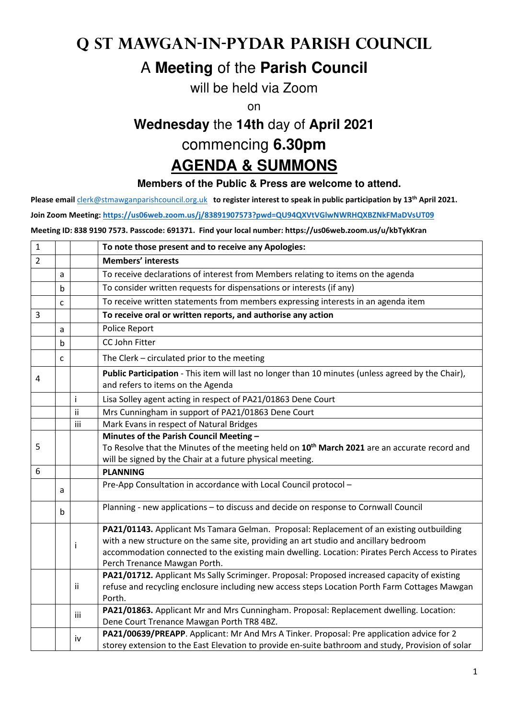## **q St Mawgan-in-Pydar Parish Council**

## A **Meeting** of the **Parish Council**

will be held via Zoom

on

## **Wednesday** the **14th** day of **April 2021**

commencing **6.30pm** 

## **AGENDA & SUMMONS**

**Members of the Public & Press are welcome to attend.** 

**Please email** clerk@stmawganparishcouncil.org.uk **to register interest to speak in public participation by 13th April 2021.** 

**Join Zoom Meeting: https://us06web.zoom.us/j/83891907573?pwd=QU94QXVtVGlwNWRHQXBZNkFMaDVsUT09**

**Meeting ID: 838 9190 7573. Passcode: 691371. Find your local number: https://us06web.zoom.us/u/kbTykKran** 

| $\mathbf{1}$   |   |     | To note those present and to receive any Apologies:                                                                                                                                                                                                                                                                  |
|----------------|---|-----|----------------------------------------------------------------------------------------------------------------------------------------------------------------------------------------------------------------------------------------------------------------------------------------------------------------------|
| $\overline{2}$ |   |     | <b>Members' interests</b>                                                                                                                                                                                                                                                                                            |
|                | a |     | To receive declarations of interest from Members relating to items on the agenda                                                                                                                                                                                                                                     |
|                | b |     | To consider written requests for dispensations or interests (if any)                                                                                                                                                                                                                                                 |
|                | C |     | To receive written statements from members expressing interests in an agenda item                                                                                                                                                                                                                                    |
| 3              |   |     | To receive oral or written reports, and authorise any action                                                                                                                                                                                                                                                         |
|                | a |     | Police Report                                                                                                                                                                                                                                                                                                        |
|                | b |     | CC John Fitter                                                                                                                                                                                                                                                                                                       |
|                | C |     | The Clerk - circulated prior to the meeting                                                                                                                                                                                                                                                                          |
| 4              |   |     | Public Participation - This item will last no longer than 10 minutes (unless agreed by the Chair),<br>and refers to items on the Agenda                                                                                                                                                                              |
|                |   | İ.  | Lisa Solley agent acting in respect of PA21/01863 Dene Court                                                                                                                                                                                                                                                         |
|                |   | ii  | Mrs Cunningham in support of PA21/01863 Dene Court                                                                                                                                                                                                                                                                   |
|                |   | iii | Mark Evans in respect of Natural Bridges                                                                                                                                                                                                                                                                             |
| 5              |   |     | Minutes of the Parish Council Meeting -<br>To Resolve that the Minutes of the meeting held on 10 <sup>th</sup> March 2021 are an accurate record and                                                                                                                                                                 |
|                |   |     | will be signed by the Chair at a future physical meeting.                                                                                                                                                                                                                                                            |
| 6              |   |     | <b>PLANNING</b>                                                                                                                                                                                                                                                                                                      |
|                | a |     | Pre-App Consultation in accordance with Local Council protocol -                                                                                                                                                                                                                                                     |
|                | b |     | Planning - new applications - to discuss and decide on response to Cornwall Council                                                                                                                                                                                                                                  |
|                |   | i   | PA21/01143. Applicant Ms Tamara Gelman. Proposal: Replacement of an existing outbuilding<br>with a new structure on the same site, providing an art studio and ancillary bedroom<br>accommodation connected to the existing main dwelling. Location: Pirates Perch Access to Pirates<br>Perch Trenance Mawgan Porth. |
|                |   | ii. | PA21/01712. Applicant Ms Sally Scriminger. Proposal: Proposed increased capacity of existing<br>refuse and recycling enclosure including new access steps Location Porth Farm Cottages Mawgan<br>Porth.                                                                                                              |
|                |   | iii | PA21/01863. Applicant Mr and Mrs Cunningham. Proposal: Replacement dwelling. Location:<br>Dene Court Trenance Mawgan Porth TR8 4BZ.                                                                                                                                                                                  |
|                |   | iv  | PA21/00639/PREAPP. Applicant: Mr And Mrs A Tinker. Proposal: Pre application advice for 2<br>storey extension to the East Elevation to provide en-suite bathroom and study, Provision of solar                                                                                                                       |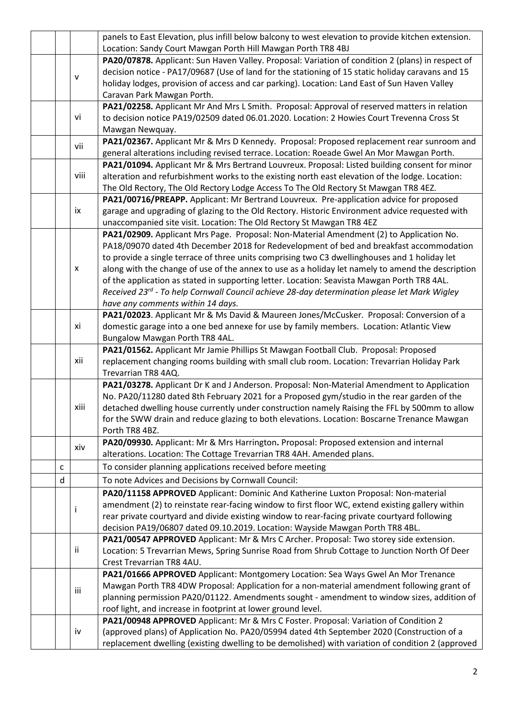| Location: Sandy Court Mawgan Porth Hill Mawgan Porth TR8 4BJ<br>PA20/07878. Applicant: Sun Haven Valley. Proposal: Variation of condition 2 (plans) in respect of<br>decision notice - PA17/09687 (Use of land for the stationing of 15 static holiday caravans and 15<br>v<br>holiday lodges, provision of access and car parking). Location: Land East of Sun Haven Valley<br>Caravan Park Mawgan Porth.<br>PA21/02258. Applicant Mr And Mrs L Smith. Proposal: Approval of reserved matters in relation<br>vi<br>to decision notice PA19/02509 dated 06.01.2020. Location: 2 Howies Court Trevenna Cross St |  |
|----------------------------------------------------------------------------------------------------------------------------------------------------------------------------------------------------------------------------------------------------------------------------------------------------------------------------------------------------------------------------------------------------------------------------------------------------------------------------------------------------------------------------------------------------------------------------------------------------------------|--|
|                                                                                                                                                                                                                                                                                                                                                                                                                                                                                                                                                                                                                |  |
|                                                                                                                                                                                                                                                                                                                                                                                                                                                                                                                                                                                                                |  |
|                                                                                                                                                                                                                                                                                                                                                                                                                                                                                                                                                                                                                |  |
|                                                                                                                                                                                                                                                                                                                                                                                                                                                                                                                                                                                                                |  |
|                                                                                                                                                                                                                                                                                                                                                                                                                                                                                                                                                                                                                |  |
|                                                                                                                                                                                                                                                                                                                                                                                                                                                                                                                                                                                                                |  |
|                                                                                                                                                                                                                                                                                                                                                                                                                                                                                                                                                                                                                |  |
| Mawgan Newquay.                                                                                                                                                                                                                                                                                                                                                                                                                                                                                                                                                                                                |  |
| PA21/02367. Applicant Mr & Mrs D Kennedy. Proposal: Proposed replacement rear sunroom and<br>vii                                                                                                                                                                                                                                                                                                                                                                                                                                                                                                               |  |
| general alterations including revised terrace. Location: Roeade Gwel An Mor Mawgan Porth.                                                                                                                                                                                                                                                                                                                                                                                                                                                                                                                      |  |
| PA21/01094. Applicant Mr & Mrs Bertrand Louvreux. Proposal: Listed building consent for minor                                                                                                                                                                                                                                                                                                                                                                                                                                                                                                                  |  |
| viii<br>alteration and refurbishment works to the existing north east elevation of the lodge. Location:                                                                                                                                                                                                                                                                                                                                                                                                                                                                                                        |  |
| The Old Rectory, The Old Rectory Lodge Access To The Old Rectory St Mawgan TR8 4EZ.                                                                                                                                                                                                                                                                                                                                                                                                                                                                                                                            |  |
| PA21/00716/PREAPP. Applicant: Mr Bertrand Louvreux. Pre-application advice for proposed                                                                                                                                                                                                                                                                                                                                                                                                                                                                                                                        |  |
| ix<br>garage and upgrading of glazing to the Old Rectory. Historic Environment advice requested with                                                                                                                                                                                                                                                                                                                                                                                                                                                                                                           |  |
| unaccompanied site visit. Location: The Old Rectory St Mawgan TR8 4EZ                                                                                                                                                                                                                                                                                                                                                                                                                                                                                                                                          |  |
| PA21/02909. Applicant Mrs Page. Proposal: Non-Material Amendment (2) to Application No.                                                                                                                                                                                                                                                                                                                                                                                                                                                                                                                        |  |
| PA18/09070 dated 4th December 2018 for Redevelopment of bed and breakfast accommodation                                                                                                                                                                                                                                                                                                                                                                                                                                                                                                                        |  |
| to provide a single terrace of three units comprising two C3 dwellinghouses and 1 holiday let                                                                                                                                                                                                                                                                                                                                                                                                                                                                                                                  |  |
| along with the change of use of the annex to use as a holiday let namely to amend the description<br>X                                                                                                                                                                                                                                                                                                                                                                                                                                                                                                         |  |
| of the application as stated in supporting letter. Location: Seavista Mawgan Porth TR8 4AL.                                                                                                                                                                                                                                                                                                                                                                                                                                                                                                                    |  |
| Received 23rd - To help Cornwall Council achieve 28-day determination please let Mark Wigley                                                                                                                                                                                                                                                                                                                                                                                                                                                                                                                   |  |
| have any comments within 14 days.                                                                                                                                                                                                                                                                                                                                                                                                                                                                                                                                                                              |  |
| PA21/02023. Applicant Mr & Ms David & Maureen Jones/McCusker. Proposal: Conversion of a                                                                                                                                                                                                                                                                                                                                                                                                                                                                                                                        |  |
| хi<br>domestic garage into a one bed annexe for use by family members. Location: Atlantic View                                                                                                                                                                                                                                                                                                                                                                                                                                                                                                                 |  |
| Bungalow Mawgan Porth TR8 4AL.                                                                                                                                                                                                                                                                                                                                                                                                                                                                                                                                                                                 |  |
| PA21/01562. Applicant Mr Jamie Phillips St Mawgan Football Club. Proposal: Proposed                                                                                                                                                                                                                                                                                                                                                                                                                                                                                                                            |  |
| xii<br>replacement changing rooms building with small club room. Location: Trevarrian Holiday Park                                                                                                                                                                                                                                                                                                                                                                                                                                                                                                             |  |
| Trevarrian TR8 4AQ.                                                                                                                                                                                                                                                                                                                                                                                                                                                                                                                                                                                            |  |
| PA21/03278. Applicant Dr K and J Anderson. Proposal: Non-Material Amendment to Application                                                                                                                                                                                                                                                                                                                                                                                                                                                                                                                     |  |
| No. PA20/11280 dated 8th February 2021 for a Proposed gym/studio in the rear garden of the                                                                                                                                                                                                                                                                                                                                                                                                                                                                                                                     |  |
| detached dwelling house currently under construction namely Raising the FFL by 500mm to allow<br>xiii                                                                                                                                                                                                                                                                                                                                                                                                                                                                                                          |  |
| for the SWW drain and reduce glazing to both elevations. Location: Boscarne Trenance Mawgan                                                                                                                                                                                                                                                                                                                                                                                                                                                                                                                    |  |
| Porth TR8 4BZ.                                                                                                                                                                                                                                                                                                                                                                                                                                                                                                                                                                                                 |  |
|                                                                                                                                                                                                                                                                                                                                                                                                                                                                                                                                                                                                                |  |
| PA20/09930. Applicant: Mr & Mrs Harrington. Proposal: Proposed extension and internal                                                                                                                                                                                                                                                                                                                                                                                                                                                                                                                          |  |
| xiv<br>alterations. Location: The Cottage Trevarrian TR8 4AH. Amended plans.                                                                                                                                                                                                                                                                                                                                                                                                                                                                                                                                   |  |
| To consider planning applications received before meeting<br>с                                                                                                                                                                                                                                                                                                                                                                                                                                                                                                                                                 |  |
| To note Advices and Decisions by Cornwall Council:<br>d                                                                                                                                                                                                                                                                                                                                                                                                                                                                                                                                                        |  |
|                                                                                                                                                                                                                                                                                                                                                                                                                                                                                                                                                                                                                |  |
| PA20/11158 APPROVED Applicant: Dominic And Katherine Luxton Proposal: Non-material                                                                                                                                                                                                                                                                                                                                                                                                                                                                                                                             |  |
| amendment (2) to reinstate rear-facing window to first floor WC, extend existing gallery within<br>I                                                                                                                                                                                                                                                                                                                                                                                                                                                                                                           |  |
| rear private courtyard and divide existing window to rear-facing private courtyard following                                                                                                                                                                                                                                                                                                                                                                                                                                                                                                                   |  |
| decision PA19/06807 dated 09.10.2019. Location: Wayside Mawgan Porth TR8 4BL.                                                                                                                                                                                                                                                                                                                                                                                                                                                                                                                                  |  |
| PA21/00547 APPROVED Applicant: Mr & Mrs C Archer. Proposal: Two storey side extension.                                                                                                                                                                                                                                                                                                                                                                                                                                                                                                                         |  |
| ij.<br>Location: 5 Trevarrian Mews, Spring Sunrise Road from Shrub Cottage to Junction North Of Deer                                                                                                                                                                                                                                                                                                                                                                                                                                                                                                           |  |
| Crest Trevarrian TR8 4AU.                                                                                                                                                                                                                                                                                                                                                                                                                                                                                                                                                                                      |  |
| PA21/01666 APPROVED Applicant: Montgomery Location: Sea Ways Gwel An Mor Trenance                                                                                                                                                                                                                                                                                                                                                                                                                                                                                                                              |  |
| Mawgan Porth TR8 4DW Proposal: Application for a non-material amendment following grant of<br>iii                                                                                                                                                                                                                                                                                                                                                                                                                                                                                                              |  |
| planning permission PA20/01122. Amendments sought - amendment to window sizes, addition of                                                                                                                                                                                                                                                                                                                                                                                                                                                                                                                     |  |
| roof light, and increase in footprint at lower ground level.                                                                                                                                                                                                                                                                                                                                                                                                                                                                                                                                                   |  |
| PA21/00948 APPROVED Applicant: Mr & Mrs C Foster. Proposal: Variation of Condition 2<br>(approved plans) of Application No. PA20/05994 dated 4th September 2020 (Construction of a<br>iv                                                                                                                                                                                                                                                                                                                                                                                                                       |  |